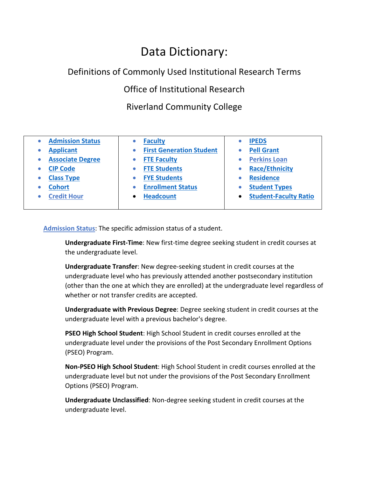# Data Dictionary:

## Definitions of Commonly Used Institutional Research Terms

Office of Institutional Research

# Riverland Community College

| <b>Admission Status</b> | <b>Faculty</b>                  | <b>IPEDS</b>                 |
|-------------------------|---------------------------------|------------------------------|
| <b>Applicant</b>        | <b>First Generation Student</b> | <b>Pell Grant</b>            |
| <b>Associate Degree</b> | <b>FTE Faculty</b>              | <b>Perkins Loan</b>          |
| <b>CIP Code</b>         | <b>FTE Students</b>             | <b>Race/Ethnicity</b>        |
| <b>Class Type</b>       | <b>FYE Students</b>             | <b>Residence</b>             |
| <b>Cohort</b>           | <b>Enrollment Status</b>        | <b>Student Types</b>         |
| <b>Credit Hour</b>      | <b>Headcount</b>                | <b>Student-Faculty Ratio</b> |
|                         |                                 |                              |

<span id="page-0-0"></span>**Admission Status**: The specific admission status of a student.

**Undergraduate First-Time**: New first-time degree seeking student in credit courses at the undergraduate level.

**Undergraduate Transfer**: New degree-seeking student in credit courses at the undergraduate level who has previously attended another postsecondary institution (other than the one at which they are enrolled) at the undergraduate level regardless of whether or not transfer credits are accepted.

**Undergraduate with Previous Degree**: Degree seeking student in credit courses at the undergraduate level with a previous bachelor's degree.

**PSEO High School Student**: High School Student in credit courses enrolled at the undergraduate level under the provisions of the Post Secondary Enrollment Options (PSEO) Program.

**Non-PSEO High School Student**: High School Student in credit courses enrolled at the undergraduate level but not under the provisions of the Post Secondary Enrollment Options (PSEO) Program.

**Undergraduate Unclassified**: Non-degree seeking student in credit courses at the undergraduate level.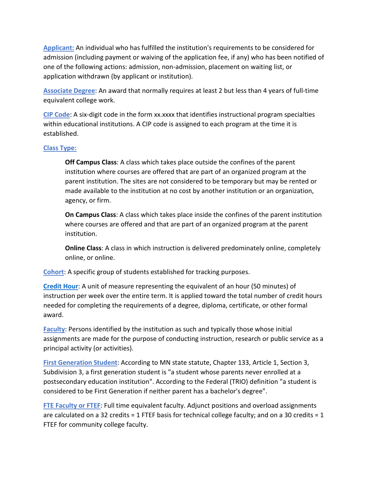<span id="page-1-0"></span>**Applicant:** An individual who has fulfilled the institution's requirements to be considered for admission (including payment or waiving of the application fee, if any) who has been notified of one of the following actions: admission, non-admission, placement on waiting list, or application withdrawn (by applicant or institution).

<span id="page-1-1"></span>**Associate Degree**: An award that normally requires at least 2 but less than 4 years of full-time equivalent college work.

<span id="page-1-2"></span>**CIP Code**: A six-digit code in the form xx.xxxx that identifies instructional program specialties within educational institutions. A CIP code is assigned to each program at the time it is established.

#### <span id="page-1-3"></span>**Class Type:**

**Off Campus Class**: A class which takes place outside the confines of the parent institution where courses are offered that are part of an organized program at the parent institution. The sites are not considered to be temporary but may be rented or made available to the institution at no cost by another institution or an organization, agency, or firm.

**On Campus Class**: A class which takes place inside the confines of the parent institution where courses are offered and that are part of an organized program at the parent institution.

**Online Class**: A class in which instruction is delivered predominately online, completely online, or online.

<span id="page-1-4"></span>**Cohort**: A specific group of students established for tracking purposes.

<span id="page-1-8"></span>**[Credit Hour](#page-1-8)**: A unit of measure representing the equivalent of an hour (50 minutes) of instruction per week over the entire term. It is applied toward the total number of credit hours needed for completing the requirements of a degree, diploma, certificate, or other formal award.

<span id="page-1-5"></span>**Faculty**: Persons identified by the institution as such and typically those whose initial assignments are made for the purpose of conducting instruction, research or public service as a principal activity (or activities).

<span id="page-1-6"></span>**First Generation Student**: According to MN state statute, Chapter 133, Article 1, Section 3, Subdivision 3, a first generation student is "a student whose parents never enrolled at a postsecondary education institution". According to the Federal (TRIO) definition "a student is considered to be First Generation if neither parent has a bachelor's degree".

<span id="page-1-7"></span>**FTE Faculty or FTEF**: Full time equivalent faculty. Adjunct positions and overload assignments are calculated on a 32 credits = 1 FTEF basis for technical college faculty; and on a 30 credits = 1 FTEF for community college faculty.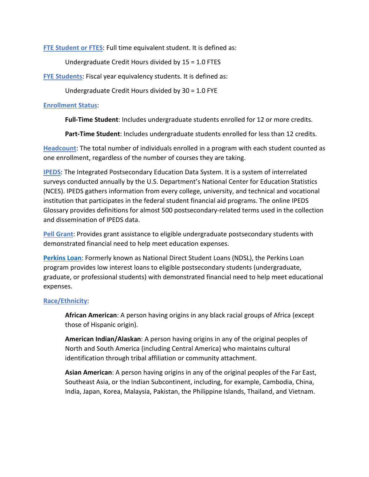<span id="page-2-0"></span>**FTE Student or FTES**: Full time equivalent student. It is defined as:

Undergraduate Credit Hours divided by 15 = 1.0 FTES

**FYE Students**: Fiscal year equivalency students. It is defined as:

Undergraduate Credit Hours divided by 30 = 1.0 FYE

#### <span id="page-2-1"></span>**Enrollment Status**:

**Full-Time Student**: Includes undergraduate students enrolled for 12 or more credits.

**Part-Time Student**: Includes undergraduate students enrolled for less than 12 credits.

<span id="page-2-2"></span>**Headcount**: The total number of individuals enrolled in a program with each student counted as one enrollment, regardless of the number of courses they are taking.

<span id="page-2-3"></span>**IPEDS**: The Integrated Postsecondary Education Data System. It is a system of interrelated surveys conducted annually by the U.S. Department's National Center for Education Statistics (NCES). IPEDS gathers information from every college, university, and technical and vocational institution that participates in the federal student financial aid programs. The online IPEDS Glossary provides definitions for almost 500 postsecondary-related terms used in the collection and dissemination of IPEDS data.

<span id="page-2-4"></span>**Pell Grant**: Provides grant assistance to eligible undergraduate postsecondary students with demonstrated financial need to help meet education expenses.

<span id="page-2-6"></span>**[Perkins Loan](#page-2-6)**: Formerly known as National Direct Student Loans (NDSL), the Perkins Loan program provides low interest loans to eligible postsecondary students (undergraduate, graduate, or professional students) with demonstrated financial need to help meet educational expenses.

### <span id="page-2-5"></span>**Race/Ethnicity**:

**African American**: A person having origins in any black racial groups of Africa (except those of Hispanic origin).

**American Indian/Alaskan**: A person having origins in any of the original peoples of North and South America (including Central America) who maintains cultural identification through tribal affiliation or community attachment.

**Asian American**: A person having origins in any of the original peoples of the Far East, Southeast Asia, or the Indian Subcontinent, including, for example, Cambodia, China, India, Japan, Korea, Malaysia, Pakistan, the Philippine Islands, Thailand, and Vietnam.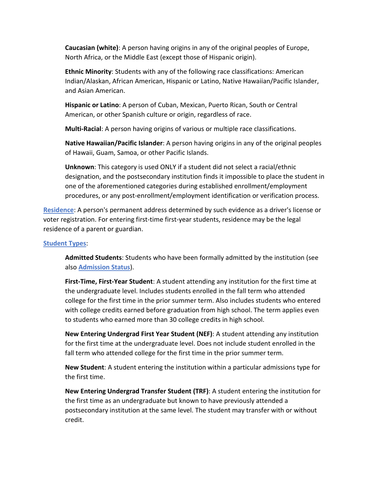**Caucasian (white)**: A person having origins in any of the original peoples of Europe, North Africa, or the Middle East (except those of Hispanic origin).

**Ethnic Minority**: Students with any of the following race classifications: American Indian/Alaskan, African American, Hispanic or Latino, Native Hawaiian/Pacific Islander, and Asian American.

**Hispanic or Latino**: A person of Cuban, Mexican, Puerto Rican, South or Central American, or other Spanish culture or origin, regardless of race.

**Multi-Racial**: A person having origins of various or multiple race classifications.

**Native Hawaiian/Pacific Islander**: A person having origins in any of the original peoples of Hawaii, Guam, Samoa, or other Pacific Islands.

**Unknown**: This category is used ONLY if a student did not select a racial/ethnic designation, and the postsecondary institution finds it impossible to place the student in one of the aforementioned categories during established enrollment/employment procedures, or any post-enrollment/employment identification or verification process.

<span id="page-3-0"></span>**Residence**: A person's permanent address determined by such evidence as a driver's license or voter registration. For entering first-time first-year students, residence may be the legal residence of a parent or guardian.

### <span id="page-3-1"></span>**Student Types**:

**Admitted Students**: Students who have been formally admitted by the institution (see also **Admission Status**).

**First-Time, First-Year Student**: A student attending any institution for the first time at the undergraduate level. Includes students enrolled in the fall term who attended college for the first time in the prior summer term. Also includes students who entered with college credits earned before graduation from high school. The term applies even to students who earned more than 30 college credits in high school.

**New Entering Undergrad First Year Student (NEF)**: A student attending any institution for the first time at the undergraduate level. Does not include student enrolled in the fall term who attended college for the first time in the prior summer term.

**New Student**: A student entering the institution within a particular admissions type for the first time.

**New Entering Undergrad Transfer Student (TRF)**: A student entering the institution for the first time as an undergraduate but known to have previously attended a postsecondary institution at the same level. The student may transfer with or without credit.